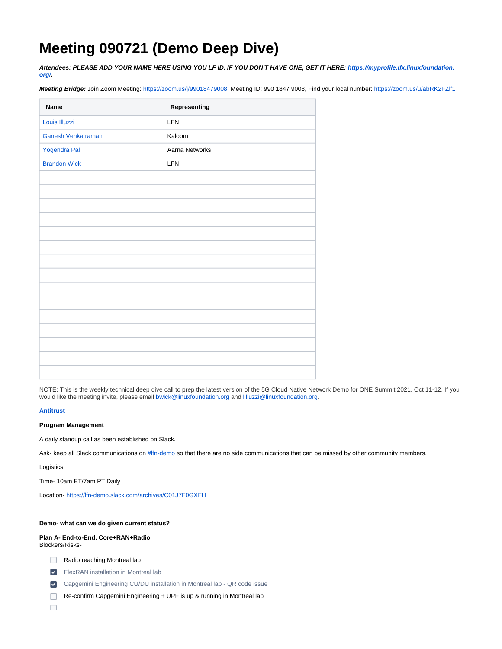# **Meeting 090721 (Demo Deep Dive)**

**Attendees: PLEASE ADD YOUR NAME HERE USING YOU LF ID. IF YOU DON'T HAVE ONE, GET IT HERE: [https://myprofile.lfx.linuxfoundation.](https://myprofile.lfx.linuxfoundation.org/) [org/](https://myprofile.lfx.linuxfoundation.org/).**

**Meeting Bridge:** Join Zoom Meeting: <https://zoom.us/j/99018479008>, Meeting ID: 990 1847 9008, Find your local number: <https://zoom.us/u/abRK2FZlf1>

| Name                | Representing   |
|---------------------|----------------|
| Louis Illuzzi       | LFN            |
| Ganesh Venkatraman  | Kaloom         |
| Yogendra Pal        | Aarna Networks |
| <b>Brandon Wick</b> | LFN            |
|                     |                |
|                     |                |
|                     |                |
|                     |                |
|                     |                |
|                     |                |
|                     |                |
|                     |                |
|                     |                |
|                     |                |
|                     |                |
|                     |                |
|                     |                |
|                     |                |
|                     |                |

NOTE: This is the weekly technical deep dive call to prep the latest version of the 5G Cloud Native Network Demo for ONE Summit 2021, Oct 11-12. If you would like the meeting invite, please email [bwick@linuxfoundation.org](mailto:bwick@linuxfoundation.org) and [lilluzzi@linuxfoundation.org.](mailto:lilluzzi@contractor.linuxfoundation.org)

## **[Antitrust](https://r.lfnetworking.org/Antitrust%20Slide.pdf)**

## **Program Management**

A daily standup call as been established on Slack.

Ask- keep all Slack communications on [#lfn-demo](https://lfn-demo.slack.com/archives/C01J7F0GXFH) so that there are no side communications that can be missed by other community members.

# Logistics:

Time- 10am ET/7am PT Daily

Location- <https://lfn-demo.slack.com/archives/C01J7F0GXFH>

## **Demo- what can we do given current status?**

#### **Plan A- End-to-End. Core+RAN+Radio** Blockers/Risks-

- Radio reaching Montreal lab
- FlexRAN installation in Montreal lab
- **Capgemini Engineering CU/DU installation in Montreal lab QR code issue**
- Re-confirm Capgemini Engineering + UPF is up & running in Montreal lab

 $\Box$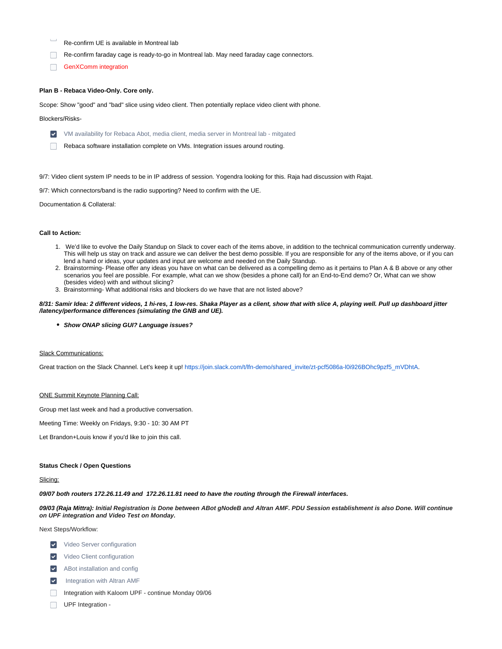- Re-confirm UE is available in Montreal lab
- Re-confirm faraday cage is ready-to-go in Montreal lab. May need faraday cage connectors.
- GenXComm integration  $\Box$

#### **Plan B - Rebaca Video-Only. Core only.**

Scope: Show "good" and "bad" slice using video client. Then potentially replace video client with phone.

#### Blockers/Risks-

- VM availability for Rebaca Abot, media client, media server in Montreal lab mitgated
- Rebaca software installation complete on VMs. Integration issues around routing.

9/7: Video client system IP needs to be in IP address of session. Yogendra looking for this. Raja had discussion with Rajat.

9/7: Which connectors/band is the radio supporting? Need to confirm with the UE.

Documentation & Collateral:

#### **Call to Action:**

- 1. We'd like to evolve the Daily Standup on Slack to cover each of the items above, in addition to the technical communication currently underway. This will help us stay on track and assure we can deliver the best demo possible. If you are responsible for any of the items above, or if you can lend a hand or ideas, your updates and input are welcome and needed on the Daily Standup.
- 2. Brainstorming- Please offer any ideas you have on what can be delivered as a compelling demo as it pertains to Plan A & B above or any other scenarios you feel are possible. For example, what can we show (besides a phone call) for an End-to-End demo? Or, What can we show (besides video) with and without slicing?
- 3. Brainstorming- What additional risks and blockers do we have that are not listed above?

#### **8/31: Samir Idea: 2 different videos, 1 hi-res, 1 low-res. Shaka Player as a client, show that with slice A, playing well. Pull up dashboard jitter /latency/performance differences (simulating the GNB and UE).**

**Show ONAP slicing GUI? Language issues?**

## Slack Communications:

Great traction on the Slack Channel. Let's keep it up! [https://join.slack.com/t/lfn-demo/shared\\_invite/zt-pcf5086a-l0i926BOhc9pzf5\\_mVDhtA](https://join.slack.com/t/lfn-demo/shared_invite/zt-pcf5086a-l0i926BOhc9pzf5_mVDhtA).

#### ONE Summit Keynote Planning Call:

Group met last week and had a productive conversation.

Meeting Time: Weekly on Fridays, 9:30 - 10: 30 AM PT

Let Brandon+Louis know if you'd like to join this call.

#### **Status Check / Open Questions**

## Slicing:

**09/07 both routers 172.26.11.49 and 172.26.11.81 need to have the routing through the Firewall interfaces.**

**09/03 (Raja Mittra): Initial Registration is Done between ABot gNodeB and Altran AMF. PDU Session establishment is also Done. Will continue on UPF integration and Video Test on Monday.**

Next Steps/Workflow:

- **V** Video Server configuration
- **V** Video Client configuration
- ABot installation and config
- Integration with Altran AMF  $\vert\mathbf{v}\vert$
- Integration with Kaloom UPF continue Monday 09/06
- $\Box$ UPF Integration -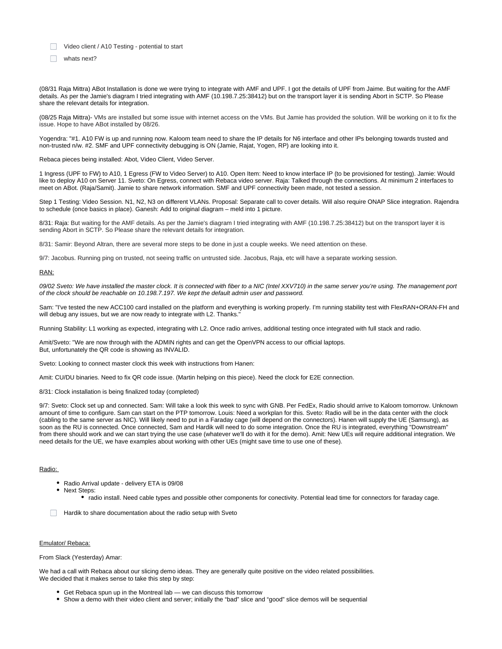- Video client / A10 Testing potential to start
- whats next?

(08/31 Raja Mittra) ABot Installation is done we were trying to integrate with AMF and UPF. I got the details of UPF from Jaime. But waiting for the AMF details. As per the Jamie's diagram I tried integrating with AMF (10.198.7.25:38412) but on the transport layer it is sending Abort in SCTP. So Please share the relevant details for integration.

(08/25 Raja Mittra)- VMs are installed but some issue with internet access on the VMs. But Jamie has provided the solution. Will be working on it to fix the issue. Hope to have ABot installed by 08/26.

Yogendra: "#1. A10 FW is up and running now. Kaloom team need to share the IP details for N6 interface and other IPs belonging towards trusted and non-trusted n/w. #2. SMF and UPF connectivity debugging is ON (Jamie, Rajat, Yogen, RP) are looking into it.

Rebaca pieces being installed: Abot, Video Client, Video Server.

1 Ingress (UPF to FW) to A10, 1 Egress (FW to Video Server) to A10. Open Item: Need to know interface IP (to be provisioned for testing). Jamie: Would like to deploy A10 on Server 11. Sveto: On Egress, connect with Rebaca video server. Raja: Talked through the connections. At minimum 2 interfaces to meet on ABot. (Raja/Samit). Jamie to share network information. SMF and UPF connectivity been made, not tested a session.

Step 1 Testing: Video Session. N1, N2, N3 on different VLANs. Proposal: Separate call to cover details. Will also require ONAP Slice integration. Rajendra to schedule (once basics in place). Ganesh: Add to original diagram – meld into 1 picture.

8/31: Raja: But waiting for the AMF details. As per the Jamie's diagram I tried integrating with AMF (10.198.7.25:38412) but on the transport layer it is sending Abort in SCTP. So Please share the relevant details for integration.

8/31: Samir: Beyond Altran, there are several more steps to be done in just a couple weeks. We need attention on these.

9/7: Jacobus. Running ping on trusted, not seeing traffic on untrusted side. Jacobus, Raja, etc will have a separate working session.

#### RAN:

09/02 Sveto: We have installed the master clock. It is connected with fiber to a NIC (Intel XXV710) in the same server vou're using. The management port of the clock should be reachable on 10.198.7.197. We kept the default admin user and password.

Sam: "I've tested the new ACC100 card installed on the platform and everything is working properly. I'm running stability test with FlexRAN+ORAN-FH and will debug any issues, but we are now ready to integrate with L2. Thanks."

Running Stability: L1 working as expected, integrating with L2. Once radio arrives, additional testing once integrated with full stack and radio.

Amit/Sveto: "We are now through with the ADMIN rights and can get the OpenVPN access to our official laptops. But, unfortunately the QR code is showing as INVALID.

Sveto: Looking to connect master clock this week with instructions from Hanen:

Amit: CU/DU binaries. Need to fix QR code issue. (Martin helping on this piece). Need the clock for E2E connection.

8/31: Clock installation is being finalized today (completed)

9/7: Sveto: Clock set up and connected. Sam: Will take a look this week to sync with GNB. Per FedEx, Radio should arrive to Kaloom tomorrow. Unknown amount of time to configure. Sam can start on the PTP tomorrow. Louis: Need a workplan for this. Sveto: Radio will be in the data center with the clock (cabling to the same server as NIC). Will likely need to put in a Faraday cage (will depend on the connectors). Hanen will supply the UE (Samsung), as soon as the RU is connected. Once connected, Sam and Hardik will need to do some integration. Once the RU is integrated, everything "Downstream" from there should work and we can start trying the use case (whatever we'll do with it for the demo). Amit: New UEs will require additional integration. We need details for the UE, we have examples about working with other UEs (might save time to use one of these).

## Radio:

- Radio Arrival update delivery ETA is 09/08
- Next Steps:
	- radio install. Need cable types and possible other components for conectivity. Potential lead time for connectors for faraday cage.
- Hardik to share documentation about the radio setup with Sveto

## Emulator/ Rebaca:

From Slack (Yesterday) Amar:

We had a call with Rebaca about our slicing demo ideas. They are generally quite positive on the video related possibilities. We decided that it makes sense to take this step by step:

- Get Rebaca spun up in the Montreal lab we can discuss this tomorrow
- Show a demo with their video client and server; initially the "bad" slice and "good" slice demos will be sequential